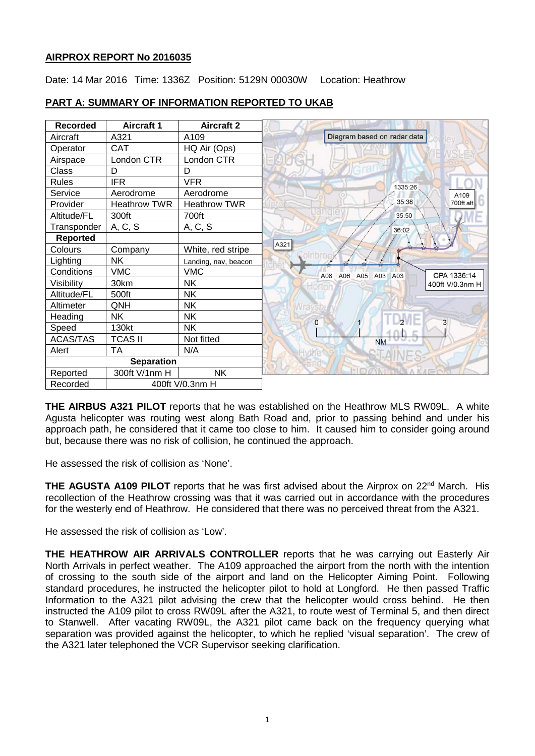## **AIRPROX REPORT No 2016035**

Date: 14 Mar 2016 Time: 1336Z Position: 5129N 00030W Location: Heathrow

| <b>Recorded</b>   | <b>Aircraft 1</b>   | <b>Aircraft 2</b>    |                                          |
|-------------------|---------------------|----------------------|------------------------------------------|
| Aircraft          | A321                | A109                 | Diagram based on radar data              |
| Operator          | CAT                 | HQ Air (Ops)         |                                          |
| Airspace          | London CTR          | London CTR           |                                          |
| Class             | D                   | D                    |                                          |
| <b>Rules</b>      | <b>IFR</b>          | <b>VFR</b>           | 1335:26                                  |
| Service           | Aerodrome           | Aerodrome            | A109                                     |
| Provider          | <b>Heathrow TWR</b> | <b>Heathrow TWR</b>  | 35:38<br>700ft alt                       |
| Altitude/FL       | 300ft               | 700ft                | 35:50                                    |
| Transponder       | A, C, S             | A, C, S              | 36:02                                    |
| <b>Reported</b>   |                     |                      |                                          |
| Colours           | Company             | White, red stripe    | A321                                     |
| Lighting          | <b>NK</b>           | Landing, nav, beacon |                                          |
| Conditions        | <b>VMC</b>          | <b>VMC</b>           | CPA 1336:14<br>A08<br>A06 A05<br>A03 A03 |
| Visibility        | 30km                | NK.                  | 400ft V/0.3nm H                          |
| Altitude/FL       | 500ft               | NΚ                   |                                          |
| Altimeter         | QNH                 | NΚ                   |                                          |
| Heading           | <b>NK</b>           | NΚ                   | $\Omega$<br>3                            |
| Speed             | 130kt               | <b>NK</b>            |                                          |
| <b>ACAS/TAS</b>   | <b>TCAS II</b>      | Not fitted           | <b>NM</b>                                |
| Alert             | <b>TA</b>           | N/A                  |                                          |
| <b>Separation</b> |                     |                      |                                          |
| Reported          | 300ft V/1nm H       | <b>NK</b>            |                                          |
| Recorded          | 400ft V/0.3nm H     |                      |                                          |

# **PART A: SUMMARY OF INFORMATION REPORTED TO UKAB**

**THE AIRBUS A321 PILOT** reports that he was established on the Heathrow MLS RW09L. A white Agusta helicopter was routing west along Bath Road and, prior to passing behind and under his approach path, he considered that it came too close to him. It caused him to consider going around but, because there was no risk of collision, he continued the approach.

He assessed the risk of collision as 'None'.

**THE AGUSTA A109 PILOT** reports that he was first advised about the Airprox on 22nd March. His recollection of the Heathrow crossing was that it was carried out in accordance with the procedures for the westerly end of Heathrow. He considered that there was no perceived threat from the A321.

He assessed the risk of collision as 'Low'.

**THE HEATHROW AIR ARRIVALS CONTROLLER** reports that he was carrying out Easterly Air North Arrivals in perfect weather. The A109 approached the airport from the north with the intention of crossing to the south side of the airport and land on the Helicopter Aiming Point. Following standard procedures, he instructed the helicopter pilot to hold at Longford. He then passed Traffic Information to the A321 pilot advising the crew that the helicopter would cross behind. He then instructed the A109 pilot to cross RW09L after the A321, to route west of Terminal 5, and then direct to Stanwell. After vacating RW09L, the A321 pilot came back on the frequency querying what separation was provided against the helicopter, to which he replied 'visual separation'. The crew of the A321 later telephoned the VCR Supervisor seeking clarification.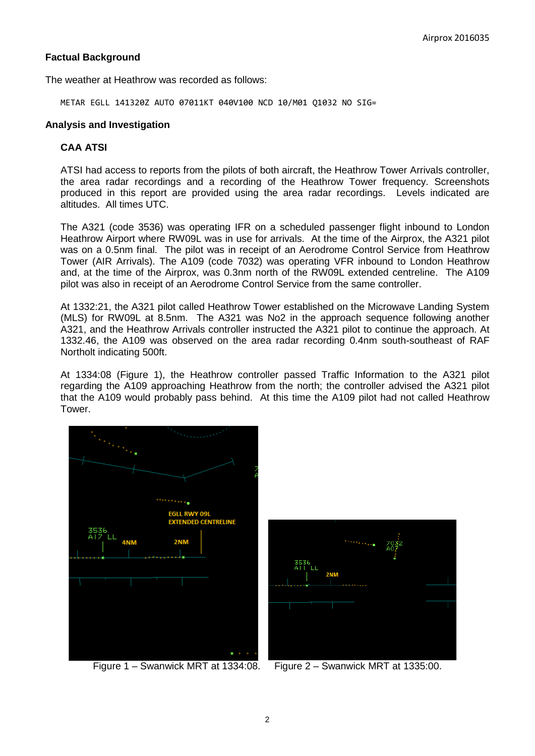# **Factual Background**

The weather at Heathrow was recorded as follows:

METAR EGLL 141320Z AUTO 07011KT 040V100 NCD 10/M01 Q1032 NO SIG=

#### **Analysis and Investigation**

#### **CAA ATSI**

ATSI had access to reports from the pilots of both aircraft, the Heathrow Tower Arrivals controller, the area radar recordings and a recording of the Heathrow Tower frequency. Screenshots produced in this report are provided using the area radar recordings. Levels indicated are altitudes. All times UTC.

The A321 (code 3536) was operating IFR on a scheduled passenger flight inbound to London Heathrow Airport where RW09L was in use for arrivals. At the time of the Airprox, the A321 pilot was on a 0.5nm final. The pilot was in receipt of an Aerodrome Control Service from Heathrow Tower (AIR Arrivals). The A109 (code 7032) was operating VFR inbound to London Heathrow and, at the time of the Airprox, was 0.3nm north of the RW09L extended centreline. The A109 pilot was also in receipt of an Aerodrome Control Service from the same controller.

At 1332:21, the A321 pilot called Heathrow Tower established on the Microwave Landing System (MLS) for RW09L at 8.5nm. The A321 was No2 in the approach sequence following another A321, and the Heathrow Arrivals controller instructed the A321 pilot to continue the approach. At 1332.46, the A109 was observed on the area radar recording 0.4nm south-southeast of RAF Northolt indicating 500ft.

At 1334:08 (Figure 1), the Heathrow controller passed Traffic Information to the A321 pilot regarding the A109 approaching Heathrow from the north; the controller advised the A321 pilot that the A109 would probably pass behind. At this time the A109 pilot had not called Heathrow Tower.



Figure 1 – Swanwick MRT at 1334:08. Figure 2 – Swanwick MRT at 1335:00.

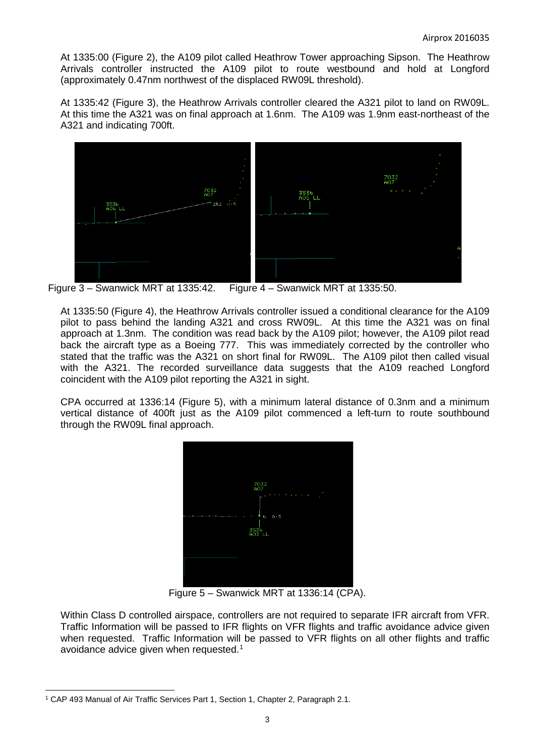At 1335:00 (Figure 2), the A109 pilot called Heathrow Tower approaching Sipson. The Heathrow Arrivals controller instructed the A109 pilot to route westbound and hold at Longford (approximately 0.47nm northwest of the displaced RW09L threshold).

At 1335:42 (Figure 3), the Heathrow Arrivals controller cleared the A321 pilot to land on RW09L. At this time the A321 was on final approach at 1.6nm. The A109 was 1.9nm east-northeast of the A321 and indicating 700ft.



Figure 3 – Swanwick MRT at 1335:42. Figure 4 – Swanwick MRT at 1335:50.

At 1335:50 (Figure 4), the Heathrow Arrivals controller issued a conditional clearance for the A109 pilot to pass behind the landing A321 and cross RW09L. At this time the A321 was on final approach at 1.3nm. The condition was read back by the A109 pilot; however, the A109 pilot read back the aircraft type as a Boeing 777. This was immediately corrected by the controller who stated that the traffic was the A321 on short final for RW09L. The A109 pilot then called visual with the A321. The recorded surveillance data suggests that the A109 reached Longford coincident with the A109 pilot reporting the A321 in sight.

CPA occurred at 1336:14 (Figure 5), with a minimum lateral distance of 0.3nm and a minimum vertical distance of 400ft just as the A109 pilot commenced a left-turn to route southbound through the RW09L final approach.



Figure 5 – Swanwick MRT at 1336:14 (CPA).

Within Class D controlled airspace, controllers are not required to separate IFR aircraft from VFR. Traffic Information will be passed to IFR flights on VFR flights and traffic avoidance advice given when requested. Traffic Information will be passed to VFR flights on all other flights and traffic avoidance advice given when requested.[1](#page-2-0)

 $\overline{\phantom{a}}$ 

<span id="page-2-0"></span><sup>&</sup>lt;sup>1</sup> CAP 493 Manual of Air Traffic Services Part 1, Section 1, Chapter 2, Paragraph 2.1.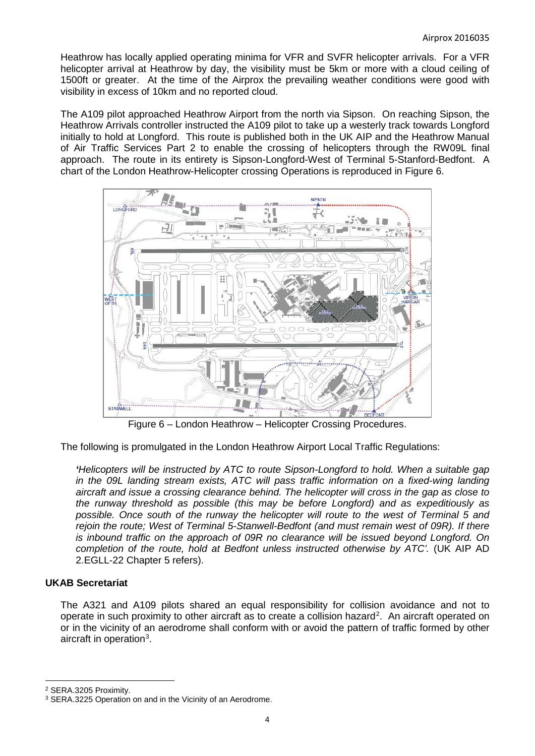Heathrow has locally applied operating minima for VFR and SVFR helicopter arrivals. For a VFR helicopter arrival at Heathrow by day, the visibility must be 5km or more with a cloud ceiling of 1500ft or greater. At the time of the Airprox the prevailing weather conditions were good with visibility in excess of 10km and no reported cloud.

The A109 pilot approached Heathrow Airport from the north via Sipson. On reaching Sipson, the Heathrow Arrivals controller instructed the A109 pilot to take up a westerly track towards Longford initially to hold at Longford. This route is published both in the UK AIP and the Heathrow Manual of Air Traffic Services Part 2 to enable the crossing of helicopters through the RW09L final approach. The route in its entirety is Sipson-Longford-West of Terminal 5-Stanford-Bedfont. A chart of the London Heathrow-Helicopter crossing Operations is reproduced in Figure 6.



Figure 6 – London Heathrow – Helicopter Crossing Procedures.

The following is promulgated in the London Heathrow Airport Local Traffic Regulations:

*'Helicopters will be instructed by ATC to route Sipson-Longford to hold. When a suitable gap in the 09L landing stream exists, ATC will pass traffic information on a fixed-wing landing aircraft and issue a crossing clearance behind. The helicopter will cross in the gap as close to the runway threshold as possible (this may be before Longford) and as expeditiously as possible. Once south of the runway the helicopter will route to the west of Terminal 5 and rejoin the route; West of Terminal 5-Stanwell-Bedfont (and must remain west of 09R). If there is inbound traffic on the approach of 09R no clearance will be issued beyond Longford. On completion of the route, hold at Bedfont unless instructed otherwise by ATC'.* (UK AIP AD 2.EGLL-22 Chapter 5 refers).

#### **UKAB Secretariat**

The A321 and A109 pilots shared an equal responsibility for collision avoidance and not to operate in such proximity to other aircraft as to create a collision hazard<sup>[2](#page-3-0)</sup>. An aircraft operated on or in the vicinity of an aerodrome shall conform with or avoid the pattern of traffic formed by other aircraft in operation<sup>[3](#page-3-1)</sup>.

l

<span id="page-3-0"></span><sup>2</sup> SERA.3205 Proximity.

<span id="page-3-1"></span><sup>&</sup>lt;sup>3</sup> SERA.3225 Operation on and in the Vicinity of an Aerodrome.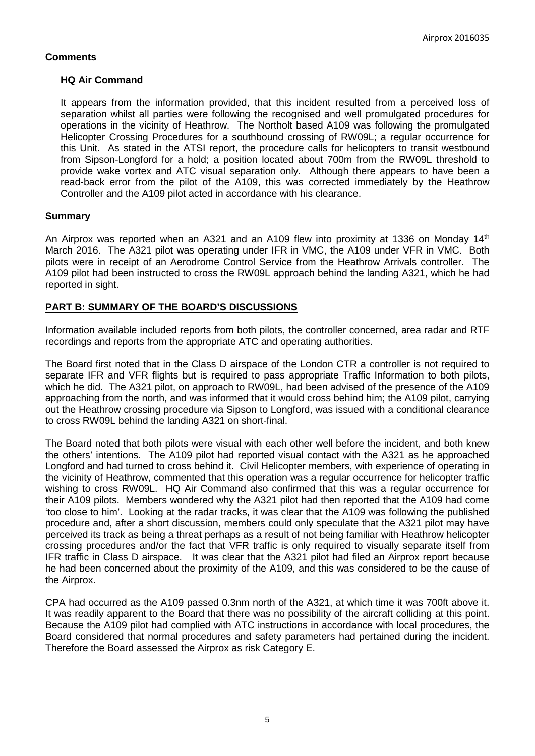# **Comments**

## **HQ Air Command**

It appears from the information provided, that this incident resulted from a perceived loss of separation whilst all parties were following the recognised and well promulgated procedures for operations in the vicinity of Heathrow. The Northolt based A109 was following the promulgated Helicopter Crossing Procedures for a southbound crossing of RW09L; a regular occurrence for this Unit. As stated in the ATSI report, the procedure calls for helicopters to transit westbound from Sipson-Longford for a hold; a position located about 700m from the RW09L threshold to provide wake vortex and ATC visual separation only. Although there appears to have been a read-back error from the pilot of the A109, this was corrected immediately by the Heathrow Controller and the A109 pilot acted in accordance with his clearance.

# **Summary**

An Airprox was reported when an A321 and an A109 flew into proximity at 1336 on Monday 14<sup>th</sup> March 2016. The A321 pilot was operating under IFR in VMC, the A109 under VFR in VMC. Both pilots were in receipt of an Aerodrome Control Service from the Heathrow Arrivals controller. The A109 pilot had been instructed to cross the RW09L approach behind the landing A321, which he had reported in sight.

# **PART B: SUMMARY OF THE BOARD'S DISCUSSIONS**

Information available included reports from both pilots, the controller concerned, area radar and RTF recordings and reports from the appropriate ATC and operating authorities.

The Board first noted that in the Class D airspace of the London CTR a controller is not required to separate IFR and VFR flights but is required to pass appropriate Traffic Information to both pilots, which he did. The A321 pilot, on approach to RW09L, had been advised of the presence of the A109 approaching from the north, and was informed that it would cross behind him; the A109 pilot, carrying out the Heathrow crossing procedure via Sipson to Longford, was issued with a conditional clearance to cross RW09L behind the landing A321 on short-final.

The Board noted that both pilots were visual with each other well before the incident, and both knew the others' intentions. The A109 pilot had reported visual contact with the A321 as he approached Longford and had turned to cross behind it. Civil Helicopter members, with experience of operating in the vicinity of Heathrow, commented that this operation was a regular occurrence for helicopter traffic wishing to cross RW09L. HQ Air Command also confirmed that this was a regular occurrence for their A109 pilots. Members wondered why the A321 pilot had then reported that the A109 had come 'too close to him'. Looking at the radar tracks, it was clear that the A109 was following the published procedure and, after a short discussion, members could only speculate that the A321 pilot may have perceived its track as being a threat perhaps as a result of not being familiar with Heathrow helicopter crossing procedures and/or the fact that VFR traffic is only required to visually separate itself from IFR traffic in Class D airspace. It was clear that the A321 pilot had filed an Airprox report because he had been concerned about the proximity of the A109, and this was considered to be the cause of the Airprox.

CPA had occurred as the A109 passed 0.3nm north of the A321, at which time it was 700ft above it. It was readily apparent to the Board that there was no possibility of the aircraft colliding at this point. Because the A109 pilot had complied with ATC instructions in accordance with local procedures, the Board considered that normal procedures and safety parameters had pertained during the incident. Therefore the Board assessed the Airprox as risk Category E.